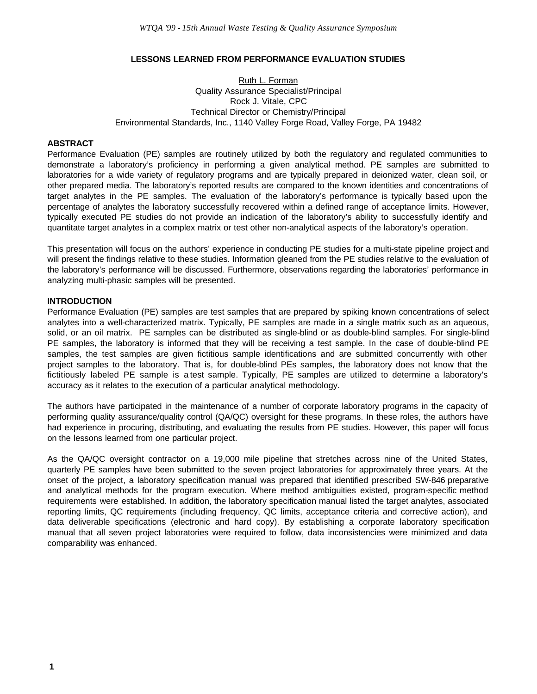## **LESSONS LEARNED FROM PERFORMANCE EVALUATION STUDIES**

Ruth L. Forman Quality Assurance Specialist/Principal Rock J. Vitale, CPC Technical Director or Chemistry/Principal Environmental Standards, Inc., 1140 Valley Forge Road, Valley Forge, PA 19482

#### **ABSTRACT**

Performance Evaluation (PE) samples are routinely utilized by both the regulatory and regulated communities to demonstrate a laboratory's proficiency in performing a given analytical method. PE samples are submitted to laboratories for a wide variety of regulatory programs and are typically prepared in deionized water, clean soil, or other prepared media. The laboratory's reported results are compared to the known identities and concentrations of target analytes in the PE samples. The evaluation of the laboratory's performance is typically based upon the percentage of analytes the laboratory successfully recovered within a defined range of acceptance limits. However, typically executed PE studies do not provide an indication of the laboratory's ability to successfully identify and quantitate target analytes in a complex matrix or test other non-analytical aspects of the laboratory's operation.

This presentation will focus on the authors' experience in conducting PE studies for a multi-state pipeline project and will present the findings relative to these studies. Information gleaned from the PE studies relative to the evaluation of the laboratory's performance will be discussed. Furthermore, observations regarding the laboratories' performance in analyzing multi-phasic samples will be presented.

## **INTRODUCTION**

Performance Evaluation (PE) samples are test samples that are prepared by spiking known concentrations of select analytes into a well-characterized matrix. Typically, PE samples are made in a single matrix such as an aqueous, solid, or an oil matrix. PE samples can be distributed as single-blind or as double-blind samples. For single-blind PE samples, the laboratory is informed that they will be receiving a test sample. In the case of double-blind PE samples, the test samples are given fictitious sample identifications and are submitted concurrently with other project samples to the laboratory. That is, for double-blind PEs samples, the laboratory does not know that the fictitiously labeled PE sample is a test sample. Typically, PE samples are utilized to determine a laboratory's accuracy as it relates to the execution of a particular analytical methodology.

The authors have participated in the maintenance of a number of corporate laboratory programs in the capacity of performing quality assurance/quality control (QA/QC) oversight for these programs. In these roles, the authors have had experience in procuring, distributing, and evaluating the results from PE studies. However, this paper will focus on the lessons learned from one particular project.

As the QA/QC oversight contractor on a 19,000 mile pipeline that stretches across nine of the United States, quarterly PE samples have been submitted to the seven project laboratories for approximately three years. At the onset of the project, a laboratory specification manual was prepared that identified prescribed SW-846 preparative and analytical methods for the program execution. Where method ambiguities existed, program-specific method requirements were established. In addition, the laboratory specification manual listed the target analytes, associated reporting limits, QC requirements (including frequency, QC limits, acceptance criteria and corrective action), and data deliverable specifications (electronic and hard copy). By establishing a corporate laboratory specification manual that all seven project laboratories were required to follow, data inconsistencies were minimized and data comparability was enhanced.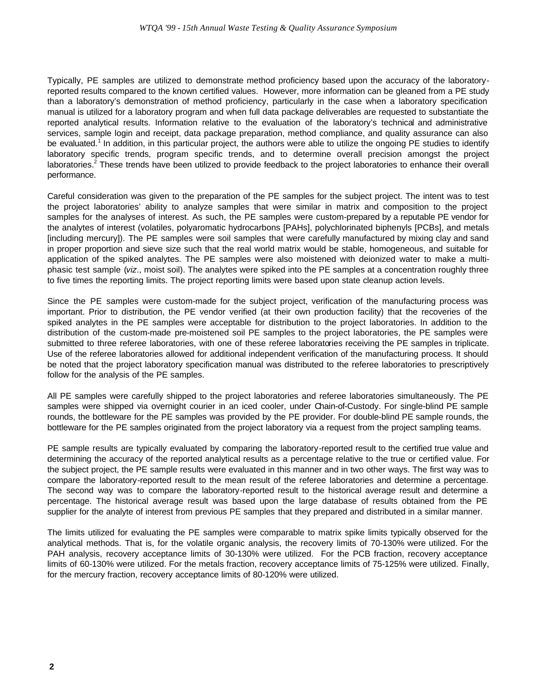Typically, PE samples are utilized to demonstrate method proficiency based upon the accuracy of the laboratoryreported results compared to the known certified values. However, more information can be gleaned from a PE study than a laboratory's demonstration of method proficiency, particularly in the case when a laboratory specification manual is utilized for a laboratory program and when full data package deliverables are requested to substantiate the reported analytical results. Information relative to the evaluation of the laboratory's technical and administrative services, sample login and receipt, data package preparation, method compliance, and quality assurance can also be evaluated.<sup>1</sup> In addition, in this particular project, the authors were able to utilize the ongoing PE studies to identify laboratory specific trends, program specific trends, and to determine overall precision amongst the project laboratories.<sup>2</sup> These trends have been utilized to provide feedback to the project laboratories to enhance their overall performance.

Careful consideration was given to the preparation of the PE samples for the subject project. The intent was to test the project laboratories' ability to analyze samples that were similar in matrix and composition to the project samples for the analyses of interest. As such, the PE samples were custom-prepared by a reputable PE vendor for the analytes of interest (volatiles, polyaromatic hydrocarbons [PAHs], polychlorinated biphenyls [PCBs], and metals [including mercury]). The PE samples were soil samples that were carefully manufactured by mixing clay and sand in proper proportion and sieve size such that the real world matrix would be stable, homogeneous, and suitable for application of the spiked analytes. The PE samples were also moistened with deionized water to make a multiphasic test sample (*viz*., moist soil). The analytes were spiked into the PE samples at a concentration roughly three to five times the reporting limits. The project reporting limits were based upon state cleanup action levels.

Since the PE samples were custom-made for the subject project, verification of the manufacturing process was important. Prior to distribution, the PE vendor verified (at their own production facility) that the recoveries of the spiked analytes in the PE samples were acceptable for distribution to the project laboratories. In addition to the distribution of the custom-made pre-moistened soil PE samples to the project laboratories, the PE samples were submitted to three referee laboratories, with one of these referee laboratories receiving the PE samples in triplicate. Use of the referee laboratories allowed for additional independent verification of the manufacturing process. It should be noted that the project laboratory specification manual was distributed to the referee laboratories to prescriptively follow for the analysis of the PE samples.

All PE samples were carefully shipped to the project laboratories and referee laboratories simultaneously. The PE samples were shipped via overnight courier in an iced cooler, under Chain-of-Custody. For single-blind PE sample rounds, the bottleware for the PE samples was provided by the PE provider. For double-blind PE sample rounds, the bottleware for the PE samples originated from the project laboratory via a request from the project sampling teams.

PE sample results are typically evaluated by comparing the laboratory-reported result to the certified true value and determining the accuracy of the reported analytical results as a percentage relative to the true or certified value. For the subject project, the PE sample results were evaluated in this manner and in two other ways. The first way was to compare the laboratory-reported result to the mean result of the referee laboratories and determine a percentage. The second way was to compare the laboratory-reported result to the historical average result and determine a percentage. The historical average result was based upon the large database of results obtained from the PE supplier for the analyte of interest from previous PE samples that they prepared and distributed in a similar manner.

The limits utilized for evaluating the PE samples were comparable to matrix spike limits typically observed for the analytical methods. That is, for the volatile organic analysis, the recovery limits of 70-130% were utilized. For the PAH analysis, recovery acceptance limits of 30-130% were utilized. For the PCB fraction, recovery acceptance limits of 60-130% were utilized. For the metals fraction, recovery acceptance limits of 75-125% were utilized. Finally, for the mercury fraction, recovery acceptance limits of 80-120% were utilized.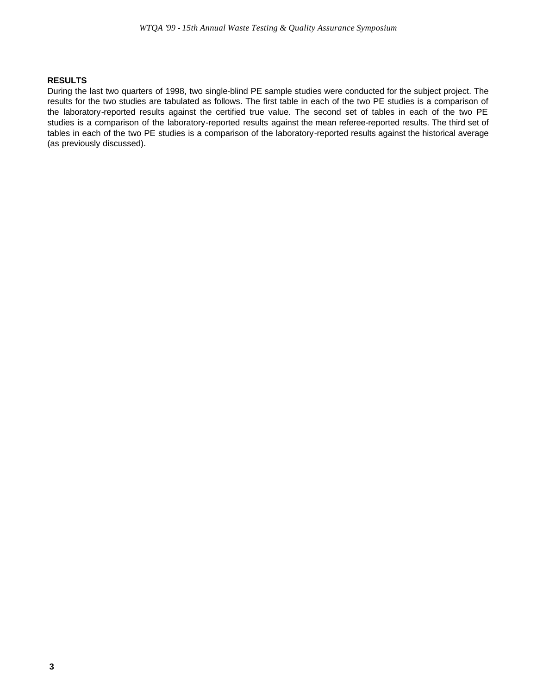# **RESULTS**

During the last two quarters of 1998, two single-blind PE sample studies were conducted for the subject project. The results for the two studies are tabulated as follows. The first table in each of the two PE studies is a comparison of the laboratory-reported results against the certified true value. The second set of tables in each of the two PE studies is a comparison of the laboratory-reported results against the mean referee-reported results. The third set of tables in each of the two PE studies is a comparison of the laboratory-reported results against the historical average (as previously discussed).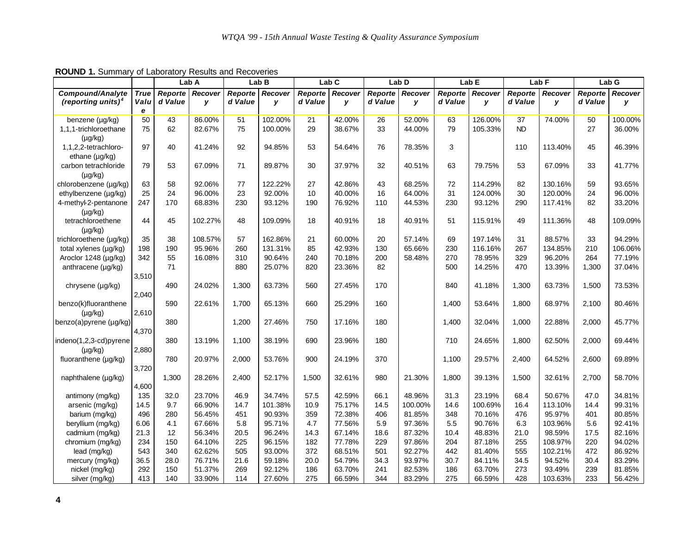|                                |             | Lab A   |         |         | Lab B   |         | Lab <sub>C</sub> |         | Lab <sub>D</sub> |         | Lab <sub>E</sub> |           | Lab <sub>F</sub> |                | Lab G   |
|--------------------------------|-------------|---------|---------|---------|---------|---------|------------------|---------|------------------|---------|------------------|-----------|------------------|----------------|---------|
| <b>Compound/Analyte</b>        | <b>True</b> | Reporte | Recover | Reporte | Recover | Reporte | Recover          | Reporte | Recover          | Reporte | Recover          | Reporte   | Recover          | <b>Reporte</b> | Recover |
| (reporting units) <sup>4</sup> | Valu        | d Value | y       | d Value | y       | d Value | y                | d Value | v                | d Value | v                | d Value   | y                | d Value        | y       |
|                                | e           |         |         |         |         |         |                  |         |                  |         |                  |           |                  |                |         |
| benzene (µg/kg)                | 50          | 43      | 86.00%  | 51      | 102.00% | 21      | 42.00%           | 26      | 52.00%           | 63      | 126.00%          | 37        | 74.00%           | 50             | 100.00% |
| 1,1,1-trichloroethane          | 75          | 62      | 82.67%  | 75      | 100.00% | 29      | 38.67%           | 33      | 44.00%           | 79      | 105.33%          | <b>ND</b> |                  | 27             | 36.00%  |
| $(\mu g/kg)$                   |             |         |         |         |         |         |                  |         |                  |         |                  |           |                  |                |         |
| 1,1,2,2-tetrachloro-           | 97          | 40      | 41.24%  | 92      | 94.85%  | 53      | 54.64%           | 76      | 78.35%           | 3       |                  | 110       | 113.40%          | 45             | 46.39%  |
| ethane $(\mu q/kg)$            |             |         |         |         |         |         |                  |         |                  |         |                  |           |                  |                |         |
| carbon tetrachloride           | 79          | 53      | 67.09%  | 71      | 89.87%  | 30      | 37.97%           | 32      | 40.51%           | 63      | 79.75%           | 53        | 67.09%           | 33             | 41.77%  |
| $(\mu g/kg)$                   |             |         |         |         |         |         |                  |         |                  |         |                  |           |                  |                |         |
| chlorobenzene (µg/kg)          | 63          | 58      | 92.06%  | 77      | 122.22% | 27      | 42.86%           | 43      | 68.25%           | 72      | 114.29%          | 82        | 130.16%          | 59             | 93.65%  |
| ethylbenzene (µg/kg)           | 25          | 24      | 96.00%  | 23      | 92.00%  | 10      | 40.00%           | 16      | 64.00%           | 31      | 124.00%          | 30        | 120.00%          | 24             | 96.00%  |
| 4-methyl-2-pentanone           | 247         | 170     | 68.83%  | 230     | 93.12%  | 190     | 76.92%           | 110     | 44.53%           | 230     | 93.12%           | 290       | 117.41%          | 82             | 33.20%  |
| $(\mu q/kq)$                   |             |         |         |         |         |         |                  |         |                  |         |                  |           |                  |                |         |
| tetrachloroethene              | 44          | 45      | 102.27% | 48      | 109.09% | 18      | 40.91%           | 18      | 40.91%           | 51      | 115.91%          | 49        | 111.36%          | 48             | 109.09% |
| $(\mu g/kg)$                   |             |         |         |         |         |         |                  |         |                  |         |                  |           |                  |                |         |
| trichloroethene (µg/kg)        | 35          | 38      | 108.57% | 57      | 162.86% | 21      | 60.00%           | 20      | 57.14%           | 69      | 197.14%          | 31        | 88.57%           | 33             | 94.29%  |
| total xylenes (µg/kg)          | 198         | 190     | 95.96%  | 260     | 131.31% | 85      | 42.93%           | 130     | 65.66%           | 230     | 116.16%          | 267       | 134.85%          | 210            | 106.06% |
| Aroclor 1248 (µg/kg)           | 342         | 55      | 16.08%  | 310     | 90.64%  | 240     | 70.18%           | 200     | 58.48%           | 270     | 78.95%           | 329       | 96.20%           | 264            | 77.19%  |
| anthracene (µg/kg)             |             | 71      |         | 880     | 25.07%  | 820     | 23.36%           | 82      |                  | 500     | 14.25%           | 470       | 13.39%           | 1,300          | 37.04%  |
|                                | 3,510       |         |         |         |         |         |                  |         |                  |         |                  |           |                  |                |         |
| chrysene (µg/kg)               |             | 490     | 24.02%  | 1,300   | 63.73%  | 560     | 27.45%           | 170     |                  | 840     | 41.18%           | 1,300     | 63.73%           | 1,500          | 73.53%  |
|                                | 2,040       |         |         |         |         |         |                  |         |                  |         |                  |           |                  |                |         |
| benzo(k)fluoranthene           |             | 590     | 22.61%  | 1,700   | 65.13%  | 660     | 25.29%           | 160     |                  | 1,400   | 53.64%           | 1,800     | 68.97%           | 2,100          | 80.46%  |
| $(\mu g/kg)$                   | 2,610       |         |         |         |         |         |                  |         |                  |         |                  |           |                  |                |         |
| benzo(a)pyrene (µg/kg)         |             | 380     |         | 1,200   | 27.46%  | 750     | 17.16%           | 180     |                  | 1,400   | 32.04%           | 1,000     | 22.88%           | 2,000          | 45.77%  |
| indeno(1,2,3-cd)pyrene         | 4,370       | 380     | 13.19%  | 1,100   | 38.19%  | 690     | 23.96%           | 180     |                  | 710     | 24.65%           | 1,800     | 62.50%           | 2,000          | 69.44%  |
|                                | 2,880       |         |         |         |         |         |                  |         |                  |         |                  |           |                  |                |         |
| $(\mu q/kg)$                   |             | 780     | 20.97%  | 2,000   | 53.76%  | 900     | 24.19%           | 370     |                  | 1,100   | 29.57%           | 2,400     | 64.52%           | 2,600          | 69.89%  |
| fluoranthene (µg/kg)           | 3,720       |         |         |         |         |         |                  |         |                  |         |                  |           |                  |                |         |
|                                |             | 1,300   | 28.26%  | 2,400   | 52.17%  | 1,500   | 32.61%           | 980     | 21.30%           | 1,800   | 39.13%           | 1,500     | 32.61%           | 2,700          | 58.70%  |
| naphthalene (µg/kg)            | 4,600       |         |         |         |         |         |                  |         |                  |         |                  |           |                  |                |         |
| antimony (mg/kg)               | 135         | 32.0    | 23.70%  | 46.9    | 34.74%  | 57.5    | 42.59%           | 66.1    | 48.96%           | 31.3    | 23.19%           | 68.4      | 50.67%           | 47.0           | 34.81%  |
| arsenic (mg/kg)                | 14.5        | 9.7     | 66.90%  | 14.7    | 101.38% | 10.9    | 75.17%           | 14.5    | 100.00%          | 14.6    | 100.69%          | 16.4      | 113.10%          | 14.4           | 99.31%  |
| barium (mg/kg)                 | 496         | 280     | 56.45%  | 451     | 90.93%  | 359     | 72.38%           | 406     | 81.85%           | 348     | 70.16%           | 476       | 95.97%           | 401            | 80.85%  |
| beryllium (mg/kg)              | 6.06        | 4.1     | 67.66%  | 5.8     | 95.71%  | 4.7     | 77.56%           | 5.9     | 97.36%           | 5.5     | 90.76%           | 6.3       | 103.96%          | 5.6            | 92.41%  |
| cadmium (mg/kg)                | 21.3        | 12      | 56.34%  | 20.5    | 96.24%  | 14.3    | 67.14%           | 18.6    | 87.32%           | 10.4    | 48.83%           | 21.0      | 98.59%           | 17.5           | 82.16%  |
| chromium (mg/kg)               | 234         | 150     | 64.10%  | 225     | 96.15%  | 182     | 77.78%           | 229     | 97.86%           | 204     | 87.18%           | 255       | 108.97%          | 220            | 94.02%  |
| lead (mg/kg)                   | 543         | 340     | 62.62%  | 505     | 93.00%  | 372     | 68.51%           | 501     | 92.27%           | 442     | 81.40%           | 555       | 102.21%          | 472            | 86.92%  |
| mercury (mg/kg)                | 36.5        | 28.0    | 76.71%  | 21.6    | 59.18%  | 20.0    | 54.79%           | 34.3    | 93.97%           | 30.7    | 84.11%           | 34.5      | 94.52%           | 30.4           | 83.29%  |
| nickel (mg/kg)                 | 292         | 150     | 51.37%  | 269     | 92.12%  | 186     | 63.70%           | 241     | 82.53%           | 186     | 63.70%           | 273       | 93.49%           | 239            | 81.85%  |
| silver (mg/kg)                 | 413         | 140     | 33.90%  | 114     | 27.60%  | 275     | 66.59%           | 344     | 83.29%           | 275     | 66.59%           | 428       | 103.63%          | 233            | 56.42%  |

**ROUND 1.** Summary of Laboratory Results and Recoveries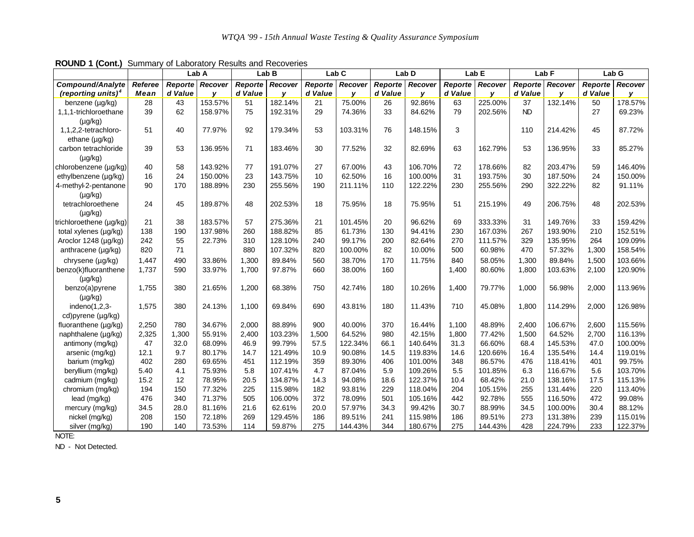| $199119 + 1991197$             |         |         | Lab A   | Carminary or Eaboratory recognic and recoveried | Lab B   |         | Lab <sub>C</sub> |         | Lab D   |         | Lab E   |                | Lab <sub>F</sub> | Lab G          |         |
|--------------------------------|---------|---------|---------|-------------------------------------------------|---------|---------|------------------|---------|---------|---------|---------|----------------|------------------|----------------|---------|
| <b>Compound/Analyte</b>        | Referee | Reporte | Recover | Reporte                                         | Recover | Reporte | Recover          | Reporte | Recover | Reporte | Recover | <b>Reporte</b> | Recover          | <b>Reporte</b> | Recover |
| (reporting units) <sup>4</sup> | Mean    | d Value | v       | d Value                                         | v       | d Value | v                | d Value | v       | d Value | v       | d Value        | v                | d Value        | v       |
| benzene (µg/kg)                | 28      | 43      | 153.57% | 51                                              | 182.14% | 21      | 75.00%           | 26      | 92.86%  | 63      | 225.00% | 37             | 132.14%          | 50             | 178.57% |
| 1,1,1-trichloroethane          | 39      | 62      | 158.97% | 75                                              | 192.31% | 29      | 74.36%           | 33      | 84.62%  | 79      | 202.56% | <b>ND</b>      |                  | 27             | 69.23%  |
| $(\mu g/kg)$                   |         |         |         |                                                 |         |         |                  |         |         |         |         |                |                  |                |         |
| 1,1,2,2-tetrachloro-           | 51      | 40      | 77.97%  | 92                                              | 179.34% | 53      | 103.31%          | 76      | 148.15% | 3       |         | 110            | 214.42%          | 45             | 87.72%  |
| ethane $(\mu q/kg)$            |         |         |         |                                                 |         |         |                  |         |         |         |         |                |                  |                |         |
| carbon tetrachloride           | 39      | 53      | 136.95% | 71                                              | 183.46% | 30      | 77.52%           | 32      | 82.69%  | 63      | 162.79% | 53             | 136.95%          | 33             | 85.27%  |
| $(\mu g/kg)$                   |         |         |         |                                                 |         |         |                  |         |         |         |         |                |                  |                |         |
| chlorobenzene (µg/kg)          | 40      | 58      | 143.92% | 77                                              | 191.07% | 27      | 67.00%           | 43      | 106.70% | 72      | 178.66% | 82             | 203.47%          | 59             | 146.40% |
| ethylbenzene (µg/kg)           | 16      | 24      | 150.00% | 23                                              | 143.75% | 10      | 62.50%           | 16      | 100.00% | 31      | 193.75% | 30             | 187.50%          | 24             | 150.00% |
| 4-methyl-2-pentanone           | 90      | 170     | 188.89% | 230                                             | 255.56% | 190     | 211.11%          | 110     | 122.22% | 230     | 255.56% | 290            | 322.22%          | 82             | 91.11%  |
| $(\mu g/kg)$                   |         |         |         |                                                 |         |         |                  |         |         |         |         |                |                  |                |         |
| tetrachloroethene              | 24      | 45      | 189.87% | 48                                              | 202.53% | 18      | 75.95%           | 18      | 75.95%  | 51      | 215.19% | 49             | 206.75%          | 48             | 202.53% |
| $(\mu g/kg)$                   |         |         |         |                                                 |         |         |                  |         |         |         |         |                |                  |                |         |
| trichloroethene (µg/kg)        | 21      | 38      | 183.57% | 57                                              | 275.36% | 21      | 101.45%          | 20      | 96.62%  | 69      | 333.33% | 31             | 149.76%          | 33             | 159.42% |
| total xylenes (µg/kg)          | 138     | 190     | 137.98% | 260                                             | 188.82% | 85      | 61.73%           | 130     | 94.41%  | 230     | 167.03% | 267            | 193.90%          | 210            | 152.51% |
| Aroclor 1248 (µg/kg)           | 242     | 55      | 22.73%  | 310                                             | 128.10% | 240     | 99.17%           | 200     | 82.64%  | 270     | 111.57% | 329            | 135.95%          | 264            | 109.09% |
| anthracene (µg/kg)             | 820     | 71      |         | 880                                             | 107.32% | 820     | 100.00%          | 82      | 10.00%  | 500     | 60.98%  | 470            | 57.32%           | 1,300          | 158.54% |
| chrysene (µg/kg)               | 1.447   | 490     | 33.86%  | 1,300                                           | 89.84%  | 560     | 38.70%           | 170     | 11.75%  | 840     | 58.05%  | 1,300          | 89.84%           | 1,500          | 103.66% |
| benzo(k)fluoranthene           | 1,737   | 590     | 33.97%  | 1,700                                           | 97.87%  | 660     | 38.00%           | 160     |         | 1,400   | 80.60%  | 1,800          | 103.63%          | 2,100          | 120.90% |
| $(\mu g/kg)$                   |         |         |         |                                                 |         |         |                  |         |         |         |         |                |                  |                |         |
| benzo(a)pyrene                 | 1,755   | 380     | 21.65%  | 1,200                                           | 68.38%  | 750     | 42.74%           | 180     | 10.26%  | 1,400   | 79.77%  | 1,000          | 56.98%           | 2,000          | 113.96% |
| $(\mu g/kg)$                   |         |         |         |                                                 |         |         |                  |         |         |         |         |                |                  |                |         |
| indeno $(1,2,3$ -              | 1,575   | 380     | 24.13%  | 1,100                                           | 69.84%  | 690     | 43.81%           | 180     | 11.43%  | 710     | 45.08%  | 1,800          | 114.29%          | 2,000          | 126.98% |
| cd)pyrene (µg/kg)              |         |         |         |                                                 |         |         |                  |         |         |         |         |                |                  |                |         |
| fluoranthene (µg/kg)           | 2,250   | 780     | 34.67%  | 2,000                                           | 88.89%  | 900     | 40.00%           | 370     | 16.44%  | 1,100   | 48.89%  | 2,400          | 106.67%          | 2,600          | 115.56% |
| naphthalene (µg/kg)            | 2,325   | 1,300   | 55.91%  | 2,400                                           | 103.23% | 1,500   | 64.52%           | 980     | 42.15%  | 1,800   | 77.42%  | 1,500          | 64.52%           | 2,700          | 116.13% |
| antimony (mg/kg)               | 47      | 32.0    | 68.09%  | 46.9                                            | 99.79%  | 57.5    | 122.34%          | 66.1    | 140.64% | 31.3    | 66.60%  | 68.4           | 145.53%          | 47.0           | 100.00% |
| arsenic (mg/kg)                | 12.1    | 9.7     | 80.17%  | 14.7                                            | 121.49% | 10.9    | 90.08%           | 14.5    | 119.83% | 14.6    | 120.66% | 16.4           | 135.54%          | 14.4           | 119.01% |
| barium (mg/kg)                 | 402     | 280     | 69.65%  | 451                                             | 112.19% | 359     | 89.30%           | 406     | 101.00% | 348     | 86.57%  | 476            | 118.41%          | 401            | 99.75%  |
| beryllium (mg/kg)              | 5.40    | 4.1     | 75.93%  | 5.8                                             | 107.41% | 4.7     | 87.04%           | 5.9     | 109.26% | 5.5     | 101.85% | 6.3            | 116.67%          | 5.6            | 103.70% |
| cadmium (mg/kg)                | 15.2    | 12      | 78.95%  | 20.5                                            | 134.87% | 14.3    | 94.08%           | 18.6    | 122.37% | 10.4    | 68.42%  | 21.0           | 138.16%          | 17.5           | 115.13% |
| chromium (mg/kg)               | 194     | 150     | 77.32%  | 225                                             | 115.98% | 182     | 93.81%           | 229     | 118.04% | 204     | 105.15% | 255            | 131.44%          | 220            | 113.40% |
| lead (mg/kg)                   | 476     | 340     | 71.37%  | 505                                             | 106.00% | 372     | 78.09%           | 501     | 105.16% | 442     | 92.78%  | 555            | 116.50%          | 472            | 99.08%  |
| mercury (mg/kg)                | 34.5    | 28.0    | 81.16%  | 21.6                                            | 62.61%  | 20.0    | 57.97%           | 34.3    | 99.42%  | 30.7    | 88.99%  | 34.5           | 100.00%          | 30.4           | 88.12%  |
| nickel (mg/kg)                 | 208     | 150     | 72.18%  | 269                                             | 129.45% | 186     | 89.51%           | 241     | 115.98% | 186     | 89.51%  | 273            | 131.38%          | 239            | 115.01% |
| silver (mg/kg)                 | 190     | 140     | 73.53%  | 114                                             | 59.87%  | 275     | 144.43%          | 344     | 180.67% | 275     | 144.43% | 428            | 224.79%          | 233            | 122.37% |

**ROUND 1 (Cont.)** Summary of Laboratory Results and Recoveries

NOTE:

ND - Not Detected.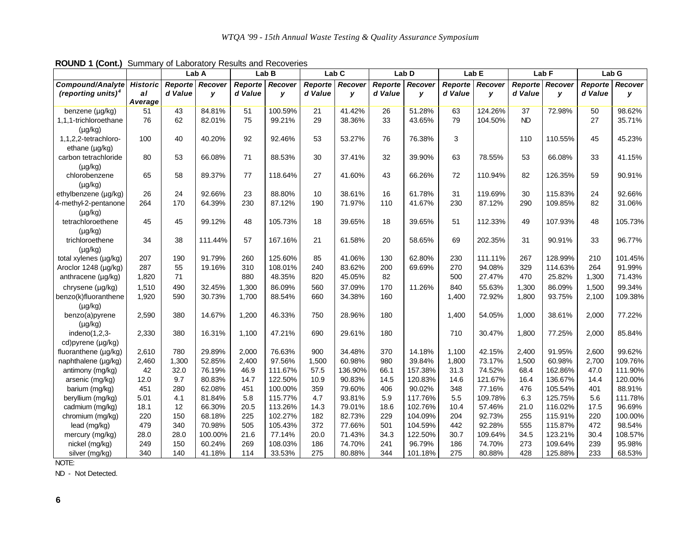| <b>Noting 1</b> ( <b>Solid</b> , Californially of Editorially Robalto dira Robertonco |                 |         | Lab A   |         | Lab B   | Lab <sub>C</sub> |         |         | Lab D   |         | Lab E   |           | Lab F   |         | Lab G   |
|---------------------------------------------------------------------------------------|-----------------|---------|---------|---------|---------|------------------|---------|---------|---------|---------|---------|-----------|---------|---------|---------|
| <b>Compound/Analyte</b>                                                               | <b>Historic</b> | Reporte | Recover | Reporte | Recover | Reporte          | Recover | Reporte | Recover | Reporte | Recover | Reporte   | Recover | Reporte | Recover |
| (reporting units) <sup>4</sup>                                                        | al              | d Value | У       | d Value | y       | d Value          | у       | d Value | y       | d Value | У       | d Value   | y       | d Value | У       |
|                                                                                       | Average         |         |         |         |         |                  |         |         |         |         |         |           |         |         |         |
| benzene (µg/kg)                                                                       | 51              | 43      | 84.81%  | 51      | 100.59% | 21               | 41.42%  | 26      | 51.28%  | 63      | 124.26% | 37        | 72.98%  | 50      | 98.62%  |
| 1,1,1-trichloroethane                                                                 | 76              | 62      | 82.01%  | 75      | 99.21%  | 29               | 38.36%  | 33      | 43.65%  | 79      | 104.50% | <b>ND</b> |         | 27      | 35.71%  |
| $(\mu g/kg)$                                                                          |                 |         |         |         |         |                  |         |         |         |         |         |           |         |         |         |
| 1,1,2,2-tetrachloro-                                                                  | 100             | 40      | 40.20%  | 92      | 92.46%  | 53               | 53.27%  | 76      | 76.38%  | 3       |         | 110       | 110.55% | 45      | 45.23%  |
| ethane (µg/kg)                                                                        |                 |         |         |         |         |                  |         |         |         |         |         |           |         |         |         |
| carbon tetrachloride                                                                  | 80              | 53      | 66.08%  | 71      | 88.53%  | 30               | 37.41%  | 32      | 39.90%  | 63      | 78.55%  | 53        | 66.08%  | 33      | 41.15%  |
| $(\mu g/kg)$                                                                          |                 |         |         |         |         |                  |         |         |         |         |         |           |         |         |         |
| chlorobenzene                                                                         | 65              | 58      | 89.37%  | 77      | 118.64% | 27               | 41.60%  | 43      | 66.26%  | 72      | 110.94% | 82        | 126.35% | 59      | 90.91%  |
| $(\mu g/kg)$                                                                          |                 |         |         |         |         |                  |         |         |         |         |         |           |         |         |         |
| ethylbenzene (µg/kg)                                                                  | 26              | 24      | 92.66%  | 23      | 88.80%  | 10               | 38.61%  | 16      | 61.78%  | 31      | 119.69% | 30        | 115.83% | 24      | 92.66%  |
| 4-methyl-2-pentanone                                                                  | 264             | 170     | 64.39%  | 230     | 87.12%  | 190              | 71.97%  | 110     | 41.67%  | 230     | 87.12%  | 290       | 109.85% | 82      | 31.06%  |
| $(\mu g/kg)$                                                                          |                 |         |         |         |         |                  |         |         |         |         |         |           |         |         |         |
| tetrachloroethene                                                                     | 45              | 45      | 99.12%  | 48      | 105.73% | 18               | 39.65%  | 18      | 39.65%  | 51      | 112.33% | 49        | 107.93% | 48      | 105.73% |
| $(\mu g/kg)$                                                                          |                 |         |         |         |         |                  |         |         |         |         |         |           |         |         |         |
| trichloroethene                                                                       | 34              | 38      | 111.44% | 57      | 167.16% | 21               | 61.58%  | 20      | 58.65%  | 69      | 202.35% | 31        | 90.91%  | 33      | 96.77%  |
| $(\mu g/kg)$                                                                          |                 |         |         |         |         |                  |         |         |         |         |         |           |         |         |         |
| total xylenes (µg/kg)                                                                 | 207             | 190     | 91.79%  | 260     | 125.60% | 85               | 41.06%  | 130     | 62.80%  | 230     | 111.11% | 267       | 128.99% | 210     | 101.45% |
| Aroclor 1248 (µg/kg)                                                                  | 287             | 55      | 19.16%  | 310     | 108.01% | 240              | 83.62%  | 200     | 69.69%  | 270     | 94.08%  | 329       | 114.63% | 264     | 91.99%  |
| anthracene (µg/kg)                                                                    | 1,820           | 71      |         | 880     | 48.35%  | 820              | 45.05%  | 82      |         | 500     | 27.47%  | 470       | 25.82%  | 1,300   | 71.43%  |
| chrysene (µg/kg)                                                                      | 1,510           | 490     | 32.45%  | 1,300   | 86.09%  | 560              | 37.09%  | 170     | 11.26%  | 840     | 55.63%  | 1,300     | 86.09%  | 1,500   | 99.34%  |
| benzo(k)fluoranthene                                                                  | 1,920           | 590     | 30.73%  | 1,700   | 88.54%  | 660              | 34.38%  | 160     |         | 1,400   | 72.92%  | 1,800     | 93.75%  | 2,100   | 109.38% |
| $(\mu g/kg)$                                                                          |                 |         |         |         |         |                  |         |         |         |         |         |           |         |         |         |
| benzo(a)pyrene                                                                        | 2,590           | 380     | 14.67%  | 1,200   | 46.33%  | 750              | 28.96%  | 180     |         | 1,400   | 54.05%  | 1,000     | 38.61%  | 2,000   | 77.22%  |
| $(\mu g/kg)$                                                                          |                 |         |         |         |         |                  |         |         |         |         |         |           |         |         |         |
| indeno $(1,2,3$ -                                                                     | 2,330           | 380     | 16.31%  | 1,100   | 47.21%  | 690              | 29.61%  | 180     |         | 710     | 30.47%  | 1,800     | 77.25%  | 2,000   | 85.84%  |
| cd)pyrene (µg/kg)                                                                     |                 |         |         |         |         |                  |         |         |         |         |         |           |         |         |         |
| fluoranthene (µg/kg)                                                                  | 2,610           | 780     | 29.89%  | 2,000   | 76.63%  | 900              | 34.48%  | 370     | 14.18%  | 1,100   | 42.15%  | 2,400     | 91.95%  | 2,600   | 99.62%  |
| naphthalene (µg/kg)                                                                   | 2,460           | 1,300   | 52.85%  | 2,400   | 97.56%  | 1,500            | 60.98%  | 980     | 39.84%  | 1,800   | 73.17%  | 1,500     | 60.98%  | 2,700   | 109.76% |
| antimony (mg/kg)                                                                      | 42              | 32.0    | 76.19%  | 46.9    | 111.67% | 57.5             | 136.90% | 66.1    | 157.38% | 31.3    | 74.52%  | 68.4      | 162.86% | 47.0    | 111.90% |
| arsenic (mg/kg)                                                                       | 12.0            | 9.7     | 80.83%  | 14.7    | 122.50% | 10.9             | 90.83%  | 14.5    | 120.83% | 14.6    | 121.67% | 16.4      | 136.67% | 14.4    | 120.00% |
| barium (mg/kg)                                                                        | 451             | 280     | 62.08%  | 451     | 100.00% | 359              | 79.60%  | 406     | 90.02%  | 348     | 77.16%  | 476       | 105.54% | 401     | 88.91%  |
| beryllium (mg/kg)                                                                     | 5.01            | 4.1     | 81.84%  | 5.8     | 115.77% | 4.7              | 93.81%  | 5.9     | 117.76% | 5.5     | 109.78% | 6.3       | 125.75% | 5.6     | 111.78% |
| cadmium (mg/kg)                                                                       | 18.1            | 12      | 66.30%  | 20.5    | 113.26% | 14.3             | 79.01%  | 18.6    | 102.76% | 10.4    | 57.46%  | 21.0      | 116.02% | 17.5    | 96.69%  |
| chromium (mg/kg)                                                                      | 220             | 150     | 68.18%  | 225     | 102.27% | 182              | 82.73%  | 229     | 104.09% | 204     | 92.73%  | 255       | 115.91% | 220     | 100.00% |
| lead (mg/kg)                                                                          | 479             | 340     | 70.98%  | 505     | 105.43% | 372              | 77.66%  | 501     | 104.59% | 442     | 92.28%  | 555       | 115.87% | 472     | 98.54%  |
| mercury (mg/kg)                                                                       | 28.0            | 28.0    | 100.00% | 21.6    | 77.14%  | 20.0             | 71.43%  | 34.3    | 122.50% | 30.7    | 109.64% | 34.5      | 123.21% | 30.4    | 108.57% |
| nickel (mg/kg)                                                                        | 249             | 150     | 60.24%  | 269     | 108.03% | 186              | 74.70%  | 241     | 96.79%  | 186     | 74.70%  | 273       | 109.64% | 239     | 95.98%  |
| silver (mg/kg)                                                                        | 340             | 140     | 41.18%  | 114     | 33.53%  | 275              | 80.88%  | 344     | 101.18% | 275     | 80.88%  | 428       | 125.88% | 233     | 68.53%  |

**ROUND 1 (Cont.)** Summary of Laboratory Results and Recoveries

NOTE:

ND - Not Detected.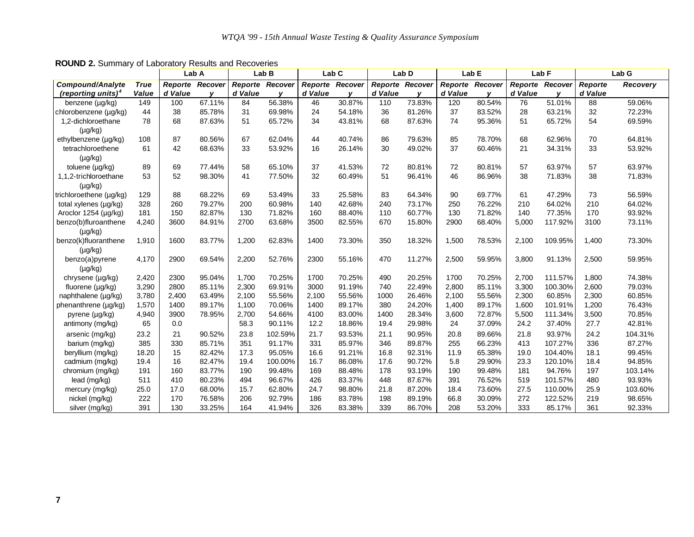|                                |             | Lab A           |              | Lab <sub>B</sub> |         | Lab <sub>C</sub>       |              |                 | Lab D  | Lab <sub>E</sub> |                        | Lab <sub>F</sub> |              |                | Lab G    |
|--------------------------------|-------------|-----------------|--------------|------------------|---------|------------------------|--------------|-----------------|--------|------------------|------------------------|------------------|--------------|----------------|----------|
| Compound/Analyte               | <b>True</b> | Reporte Recover |              | Reporte          | Recover | <b>Reporte Recover</b> |              | Reporte Recover |        |                  | <b>Reporte Recover</b> | Reporte Recover  |              | <b>Reporte</b> | Recovery |
| (reporting units) <sup>4</sup> | Value       | d Value         | $\mathbf{v}$ | d Value          |         | d Value                | $\mathbf{v}$ | d Value         |        | d Value          | $\mathbf v$            | d Value          | $\mathbf{v}$ | d Value        |          |
| benzene (µg/kg)                | 149         | 100             | 67.11%       | 84               | 56.38%  | 46                     | 30.87%       | 110             | 73.83% | 120              | 80.54%                 | 76               | 51.01%       | 88             | 59.06%   |
| chlorobenzene (µg/kg)          | 44          | 38              | 85.78%       | 31               | 69.98%  | 24                     | 54.18%       | 36              | 81.26% | 37               | 83.52%                 | 28               | 63.21%       | 32             | 72.23%   |
| 1,2-dichloroethane             | 78          | 68              | 87.63%       | 51               | 65.72%  | 34                     | 43.81%       | 68              | 87.63% | 74               | 95.36%                 | 51               | 65.72%       | 54             | 69.59%   |
| $(\mu g/kg)$                   |             |                 |              |                  |         |                        |              |                 |        |                  |                        |                  |              |                |          |
| ethylbenzene (µg/kg)           | 108         | 87              | 80.56%       | 67               | 62.04%  | 44                     | 40.74%       | 86              | 79.63% | 85               | 78.70%                 | 68               | 62.96%       | 70             | 64.81%   |
| tetrachloroethene              | 61          | 42              | 68.63%       | 33               | 53.92%  | 16                     | 26.14%       | 30              | 49.02% | 37               | 60.46%                 | 21               | 34.31%       | 33             | 53.92%   |
| $(\mu g/kg)$                   |             |                 |              |                  |         |                        |              |                 |        |                  |                        |                  |              |                |          |
| toluene (µg/kg)                | 89          | 69              | 77.44%       | 58               | 65.10%  | 37                     | 41.53%       | 72              | 80.81% | 72               | 80.81%                 | 57               | 63.97%       | 57             | 63.97%   |
| 1,1,2-trichloroethane          | 53          | 52              | 98.30%       | 41               | 77.50%  | 32                     | 60.49%       | 51              | 96.41% | 46               | 86.96%                 | 38               | 71.83%       | 38             | 71.83%   |
| $(\mu g/kg)$                   |             |                 |              |                  |         |                        |              |                 |        |                  |                        |                  |              |                |          |
| trichloroethene (µg/kg)        | 129         | 88              | 68.22%       | 69               | 53.49%  | 33                     | 25.58%       | 83              | 64.34% | 90               | 69.77%                 | 61               | 47.29%       | 73             | 56.59%   |
| total xylenes (µg/kg)          | 328         | 260             | 79.27%       | 200              | 60.98%  | 140                    | 42.68%       | 240             | 73.17% | 250              | 76.22%                 | 210              | 64.02%       | 210            | 64.02%   |
| Aroclor 1254 (µg/kg)           | 181         | 150             | 82.87%       | 130              | 71.82%  | 160                    | 88.40%       | 110             | 60.77% | 130              | 71.82%                 | 140              | 77.35%       | 170            | 93.92%   |
| benzo(b)fluroanthene           | 4,240       | 3600            | 84.91%       | 2700             | 63.68%  | 3500                   | 82.55%       | 670             | 15.80% | 2900             | 68.40%                 | 5.000            | 117.92%      | 3100           | 73.11%   |
| $(\mu g/kg)$                   |             |                 |              |                  |         |                        |              |                 |        |                  |                        |                  |              |                |          |
| benzo(k)fluoranthene           | 1,910       | 1600            | 83.77%       | 1,200            | 62.83%  | 1400                   | 73.30%       | 350             | 18.32% | 1,500            | 78.53%                 | 2.100            | 109.95%      | 1,400          | 73.30%   |
| $(\mu g/kg)$                   |             |                 |              |                  |         |                        |              |                 |        |                  |                        |                  |              |                |          |
| benzo(a)pyrene                 | 4,170       | 2900            | 69.54%       | 2,200            | 52.76%  | 2300                   | 55.16%       | 470             | 11.27% | 2,500            | 59.95%                 | 3,800            | 91.13%       | 2,500          | 59.95%   |
| $(\mu g/kg)$                   |             |                 |              |                  |         |                        |              |                 |        |                  |                        |                  |              |                |          |
| chrysene (µg/kg)               | 2,420       | 2300            | 95.04%       | 1,700            | 70.25%  | 1700                   | 70.25%       | 490             | 20.25% | 1700             | 70.25%                 | 2,700            | 111.57%      | 1,800          | 74.38%   |
| fluorene (µg/kg)               | 3,290       | 2800            | 85.11%       | 2,300            | 69.91%  | 3000                   | 91.19%       | 740             | 22.49% | 2,800            | 85.11%                 | 3,300            | 100.30%      | 2,600          | 79.03%   |
| naphthalene (µg/kg)            | 3,780       | 2,400           | 63.49%       | 2,100            | 55.56%  | 2.100                  | 55.56%       | 1000            | 26.46% | 2.100            | 55.56%                 | 2,300            | 60.85%       | 2,300          | 60.85%   |
| phenanthrene (µg/kg)           | 1,570       | 1400            | 89.17%       | 1,100            | 70.06%  | 1400                   | 89.17%       | 380             | 24.20% | 1,400            | 89.17%                 | 1.600            | 101.91%      | 1,200          | 76.43%   |
| pyrene (µg/kg)                 | 4,940       | 3900            | 78.95%       | 2,700            | 54.66%  | 4100                   | 83.00%       | 1400            | 28.34% | 3,600            | 72.87%                 | 5,500            | 111.34%      | 3,500          | 70.85%   |
| antimony (mg/kg)               | 65          | 0.0             |              | 58.3             | 90.11%  | 12.2                   | 18.86%       | 19.4            | 29.98% | 24               | 37.09%                 | 24.2             | 37.40%       | 27.7           | 42.81%   |
| arsenic (mg/kg)                | 23.2        | 21              | 90.52%       | 23.8             | 102.59% | 21.7                   | 93.53%       | 21.1            | 90.95% | 20.8             | 89.66%                 | 21.8             | 93.97%       | 24.2           | 104.31%  |
| barium (mg/kg)                 | 385         | 330             | 85.71%       | 351              | 91.17%  | 331                    | 85.97%       | 346             | 89.87% | 255              | 66.23%                 | 413              | 107.27%      | 336            | 87.27%   |
| beryllium (mg/kg)              | 18.20       | 15              | 82.42%       | 17.3             | 95.05%  | 16.6                   | 91.21%       | 16.8            | 92.31% | 11.9             | 65.38%                 | 19.0             | 104.40%      | 18.1           | 99.45%   |
| cadmium (mg/kg)                | 19.4        | 16              | 82.47%       | 19.4             | 100.00% | 16.7                   | 86.08%       | 17.6            | 90.72% | 5.8              | 29.90%                 | 23.3             | 120.10%      | 18.4           | 94.85%   |
| chromium (mg/kg)               | 191         | 160             | 83.77%       | 190              | 99.48%  | 169                    | 88.48%       | 178             | 93.19% | 190              | 99.48%                 | 181              | 94.76%       | 197            | 103.14%  |
| lead (mg/kg)                   | 511         | 410             | 80.23%       | 494              | 96.67%  | 426                    | 83.37%       | 448             | 87.67% | 391              | 76.52%                 | 519              | 101.57%      | 480            | 93.93%   |
| mercury (mg/kg)                | 25.0        | 17.0            | 68.00%       | 15.7             | 62.80%  | 24.7                   | 98.80%       | 21.8            | 87.20% | 18.4             | 73.60%                 | 27.5             | 110.00%      | 25.9           | 103.60%  |
| nickel (mg/kg)                 | 222         | 170             | 76.58%       | 206              | 92.79%  | 186                    | 83.78%       | 198             | 89.19% | 66.8             | 30.09%                 | 272              | 122.52%      | 219            | 98.65%   |
| silver (mg/kg)                 | 391         | 130             | 33.25%       | 164              | 41.94%  | 326                    | 83.38%       | 339             | 86.70% | 208              | 53.20%                 | 333              | 85.17%       | 361            | 92.33%   |

**ROUND 2.** Summary of Laboratory Results and Recoveries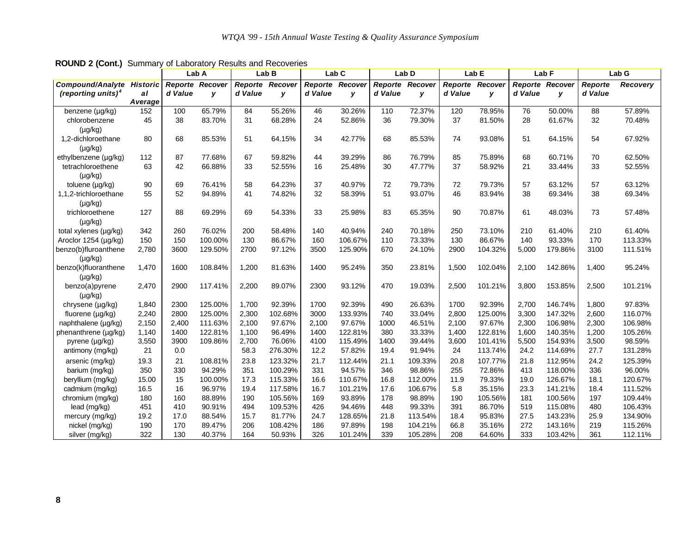|                                  |         |         | Lab A                  |         | Lab B   |         | Lab C           |                 | Lab <sub>D</sub> |         | Lab <sub>E</sub> | Lab F   |                 | Lab G   |          |
|----------------------------------|---------|---------|------------------------|---------|---------|---------|-----------------|-----------------|------------------|---------|------------------|---------|-----------------|---------|----------|
| <b>Compound/Analyte Historic</b> |         |         | <b>Reporte Recover</b> | Reporte | Recover |         | Reporte Recover | Reporte Recover |                  |         | Reporte Recover  |         | Reporte Recover | Reporte | Recovery |
| (reporting units) <sup>4</sup>   | al      | d Value | y                      | d Value | y       | d Value | y               | d Value         | y                | d Value | y                | d Value | y               | d Value |          |
|                                  | Average |         |                        |         |         |         |                 |                 |                  |         |                  |         |                 |         |          |
| benzene (µg/kg)                  | 152     | 100     | 65.79%                 | 84      | 55.26%  | 46      | 30.26%          | 110             | 72.37%           | 120     | 78.95%           | 76      | 50.00%          | 88      | 57.89%   |
| chlorobenzene                    | 45      | 38      | 83.70%                 | 31      | 68.28%  | 24      | 52.86%          | 36              | 79.30%           | 37      | 81.50%           | 28      | 61.67%          | 32      | 70.48%   |
| $(\mu g/kg)$                     |         |         |                        |         |         |         |                 |                 |                  |         |                  |         |                 |         |          |
| 1.2-dichloroethane               | 80      | 68      | 85.53%                 | 51      | 64.15%  | 34      | 42.77%          | 68              | 85.53%           | 74      | 93.08%           | 51      | 64.15%          | 54      | 67.92%   |
| $(\mu g/kg)$                     |         |         |                        |         |         |         |                 |                 |                  |         |                  |         |                 |         |          |
| ethylbenzene (µq/kg)             | 112     | 87      | 77.68%                 | 67      | 59.82%  | 44      | 39.29%          | 86              | 76.79%           | 85      | 75.89%           | 68      | 60.71%          | 70      | 62.50%   |
| tetrachloroethene                | 63      | 42      | 66.88%                 | 33      | 52.55%  | 16      | 25.48%          | 30              | 47.77%           | 37      | 58.92%           | 21      | 33.44%          | 33      | 52.55%   |
| $(\mu g/kg)$                     |         |         |                        |         |         |         |                 |                 |                  |         |                  |         |                 |         |          |
| toluene (µg/kg)                  | 90      | 69      | 76.41%                 | 58      | 64.23%  | 37      | 40.97%          | 72              | 79.73%           | 72      | 79.73%           | 57      | 63.12%          | 57      | 63.12%   |
| 1,1,2-trichloroethane            | 55      | 52      | 94.89%                 | 41      | 74.82%  | 32      | 58.39%          | 51              | 93.07%           | 46      | 83.94%           | 38      | 69.34%          | 38      | 69.34%   |
| $(\mu g/kg)$                     |         |         |                        |         |         |         |                 |                 |                  |         |                  |         |                 |         |          |
| trichloroethene                  | 127     | 88      | 69.29%                 | 69      | 54.33%  | 33      | 25.98%          | 83              | 65.35%           | 90      | 70.87%           | 61      | 48.03%          | 73      | 57.48%   |
| $(\mu g/kg)$                     |         |         |                        |         |         |         |                 |                 |                  |         |                  |         |                 |         |          |
| total xylenes (µg/kg)            | 342     | 260     | 76.02%                 | 200     | 58.48%  | 140     | 40.94%          | 240             | 70.18%           | 250     | 73.10%           | 210     | 61.40%          | 210     | 61.40%   |
| Aroclor 1254 (µg/kg)             | 150     | 150     | 100.00%                | 130     | 86.67%  | 160     | 106.67%         | 110             | 73.33%           | 130     | 86.67%           | 140     | 93.33%          | 170     | 113.33%  |
| benzo(b)fluroanthene             | 2,780   | 3600    | 129.50%                | 2700    | 97.12%  | 3500    | 125.90%         | 670             | 24.10%           | 2900    | 104.32%          | 5,000   | 179.86%         | 3100    | 111.51%  |
| $(\mu g/kg)$                     |         |         |                        |         |         |         |                 |                 |                  |         |                  |         |                 |         |          |
| benzo(k)fluoranthene             | 1,470   | 1600    | 108.84%                | 1,200   | 81.63%  | 1400    | 95.24%          | 350             | 23.81%           | 1,500   | 102.04%          | 2,100   | 142.86%         | 1,400   | 95.24%   |
| $(\mu g/kg)$                     |         |         |                        |         |         |         |                 |                 |                  |         |                  |         |                 |         |          |
| benzo(a)pyrene                   | 2,470   | 2900    | 117.41%                | 2,200   | 89.07%  | 2300    | 93.12%          | 470             | 19.03%           | 2,500   | 101.21%          | 3,800   | 153.85%         | 2,500   | 101.21%  |
| $(\mu g/kg)$                     |         |         |                        |         |         |         |                 |                 |                  |         |                  |         |                 |         |          |
| chrysene (µg/kg)                 | 1,840   | 2300    | 125.00%                | 1,700   | 92.39%  | 1700    | 92.39%          | 490             | 26.63%           | 1700    | 92.39%           | 2,700   | 146.74%         | 1,800   | 97.83%   |
| fluorene (µg/kg)                 | 2,240   | 2800    | 125.00%                | 2,300   | 102.68% | 3000    | 133.93%         | 740             | 33.04%           | 2.800   | 125.00%          | 3.300   | 147.32%         | 2.600   | 116.07%  |
| naphthalene (µg/kg)              | 2,150   | 2,400   | 111.63%                | 2,100   | 97.67%  | 2,100   | 97.67%          | 1000            | 46.51%           | 2,100   | 97.67%           | 2,300   | 106.98%         | 2,300   | 106.98%  |
| phenanthrene (µg/kg)             | 1,140   | 1400    | 122.81%                | 1.100   | 96.49%  | 1400    | 122.81%         | 380             | 33.33%           | 1,400   | 122.81%          | 1,600   | 140.35%         | 1.200   | 105.26%  |
| pyrene (µg/kg)                   | 3,550   | 3900    | 109.86%                | 2,700   | 76.06%  | 4100    | 115.49%         | 1400            | 39.44%           | 3,600   | 101.41%          | 5,500   | 154.93%         | 3,500   | 98.59%   |
| antimony (mg/kg)                 | 21      | 0.0     |                        | 58.3    | 276.30% | 12.2    | 57.82%          | 19.4            | 91.94%           | 24      | 113.74%          | 24.2    | 114.69%         | 27.7    | 131.28%  |
| arsenic (mg/kg)                  | 19.3    | 21      | 108.81%                | 23.8    | 123.32% | 21.7    | 112.44%         | 21.1            | 109.33%          | 20.8    | 107.77%          | 21.8    | 112.95%         | 24.2    | 125.39%  |
| barium (mg/kg)                   | 350     | 330     | 94.29%                 | 351     | 100.29% | 331     | 94.57%          | 346             | 98.86%           | 255     | 72.86%           | 413     | 118.00%         | 336     | 96.00%   |
| beryllium (mg/kg)                | 15.00   | 15      | 100.00%                | 17.3    | 115.33% | 16.6    | 110.67%         | 16.8            | 112.00%          | 11.9    | 79.33%           | 19.0    | 126.67%         | 18.1    | 120.67%  |
| cadmium (mg/kg)                  | 16.5    | 16      | 96.97%                 | 19.4    | 117.58% | 16.7    | 101.21%         | 17.6            | 106.67%          | 5.8     | 35.15%           | 23.3    | 141.21%         | 18.4    | 111.52%  |
| chromium (mg/kg)                 | 180     | 160     | 88.89%                 | 190     | 105.56% | 169     | 93.89%          | 178             | 98.89%           | 190     | 105.56%          | 181     | 100.56%         | 197     | 109.44%  |
| lead (mg/kg)                     | 451     | 410     | 90.91%                 | 494     | 109.53% | 426     | 94.46%          | 448             | 99.33%           | 391     | 86.70%           | 519     | 115.08%         | 480     | 106.43%  |
| mercury (mg/kg)                  | 19.2    | 17.0    | 88.54%                 | 15.7    | 81.77%  | 24.7    | 128.65%         | 21.8            | 113.54%          | 18.4    | 95.83%           | 27.5    | 143.23%         | 25.9    | 134.90%  |
| nickel (mg/kg)                   | 190     | 170     | 89.47%                 | 206     | 108.42% | 186     | 97.89%          | 198             | 104.21%          | 66.8    | 35.16%           | 272     | 143.16%         | 219     | 115.26%  |
| silver (mg/kg)                   | 322     | 130     | 40.37%                 | 164     | 50.93%  | 326     | 101.24%         | 339             | 105.28%          | 208     | 64.60%           | 333     | 103.42%         | 361     | 112.11%  |

**ROUND 2 (Cont.)** Summary of Laboratory Results and Recoveries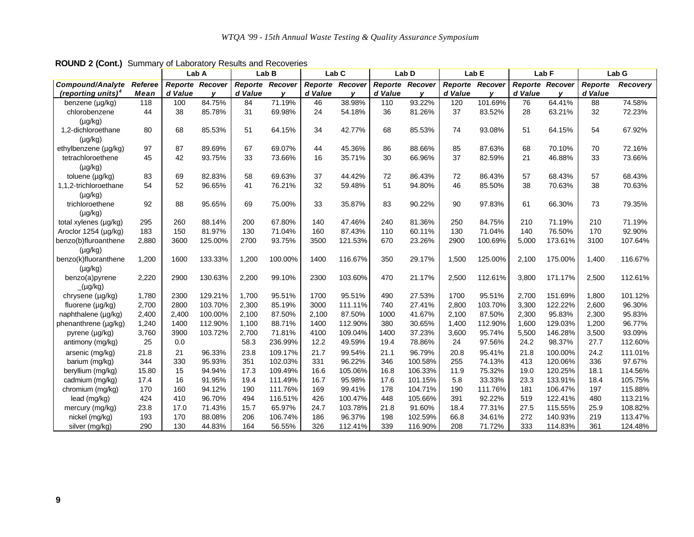|                                |         | Lab A   |                 | Lab B   |         | Lab <sub>C</sub>       |         |                 | Lab D   | Lab <sub>E</sub>       |         | Lab F           |         | Lab G   |          |
|--------------------------------|---------|---------|-----------------|---------|---------|------------------------|---------|-----------------|---------|------------------------|---------|-----------------|---------|---------|----------|
| <b>Compound/Analyte</b>        | Referee |         | Reporte Recover | Reporte | Recover | <b>Reporte Recover</b> |         | Reporte Recover |         | <b>Reporte Recover</b> |         | Reporte Recover |         | Reporte | Recovery |
| (reporting units) <sup>4</sup> | Mean    | d Value |                 | d Value |         | d Value                |         | d Value         | v       | d Value                |         | d Value         |         | d Value |          |
| benzene (µg/kg)                | 118     | 100     | 84.75%          | 84      | 71.19%  | 46                     | 38.98%  | 110             | 93.22%  | 120                    | 101.69% | 76              | 64.41%  | 88      | 74.58%   |
| chlorobenzene                  | 44      | 38      | 85.78%          | 31      | 69.98%  | 24                     | 54.18%  | 36              | 81.26%  | 37                     | 83.52%  | 28              | 63.21%  | 32      | 72.23%   |
| $(\mu g/kg)$                   |         |         |                 |         |         |                        |         |                 |         |                        |         |                 |         |         |          |
| 1,2-dichloroethane             | 80      | 68      | 85.53%          | 51      | 64.15%  | 34                     | 42.77%  | 68              | 85.53%  | 74                     | 93.08%  | 51              | 64.15%  | 54      | 67.92%   |
| $(\mu g/kg)$                   |         |         |                 |         |         |                        |         |                 |         |                        |         |                 |         |         |          |
| ethylbenzene (µg/kg)           | 97      | 87      | 89.69%          | 67      | 69.07%  | 44                     | 45.36%  | 86              | 88.66%  | 85                     | 87.63%  | 68              | 70.10%  | 70      | 72.16%   |
| tetrachloroethene              | 45      | 42      | 93.75%          | 33      | 73.66%  | 16                     | 35.71%  | 30              | 66.96%  | 37                     | 82.59%  | 21              | 46.88%  | 33      | 73.66%   |
| $(\mu g/kg)$                   |         |         |                 |         |         |                        |         |                 |         |                        |         |                 |         |         |          |
| toluene (µg/kg)                | 83      | 69      | 82.83%          | 58      | 69.63%  | 37                     | 44.42%  | 72              | 86.43%  | 72                     | 86.43%  | 57              | 68.43%  | 57      | 68.43%   |
| 1.1.2-trichloroethane          | 54      | 52      | 96.65%          | 41      | 76.21%  | 32                     | 59.48%  | 51              | 94.80%  | 46                     | 85.50%  | 38              | 70.63%  | 38      | 70.63%   |
| $(\mu g/kg)$                   |         |         |                 |         |         |                        |         |                 |         |                        |         |                 |         |         |          |
| trichloroethene                | 92      | 88      | 95.65%          | 69      | 75.00%  | 33                     | 35.87%  | 83              | 90.22%  | 90                     | 97.83%  | 61              | 66.30%  | 73      | 79.35%   |
| $(\mu g/kg)$                   |         |         |                 |         |         |                        |         |                 |         |                        |         |                 |         |         |          |
| total xylenes (µg/kg)          | 295     | 260     | 88.14%          | 200     | 67.80%  | 140                    | 47.46%  | 240             | 81.36%  | 250                    | 84.75%  | 210             | 71.19%  | 210     | 71.19%   |
| Aroclor 1254 (µg/kg)           | 183     | 150     | 81.97%          | 130     | 71.04%  | 160                    | 87.43%  | 110             | 60.11%  | 130                    | 71.04%  | 140             | 76.50%  | 170     | 92.90%   |
| benzo(b)fluroanthene           | 2,880   | 3600    | 125.00%         | 2700    | 93.75%  | 3500                   | 121.53% | 670             | 23.26%  | 2900                   | 100.69% | 5,000           | 173.61% | 3100    | 107.64%  |
| $(\mu g/kg)$                   |         |         |                 |         |         |                        |         |                 |         |                        |         |                 |         |         |          |
| benzo(k)fluoranthene           | 1,200   | 1600    | 133.33%         | 1,200   | 100.00% | 1400                   | 116.67% | 350             | 29.17%  | 1,500                  | 125.00% | 2,100           | 175.00% | 1,400   | 116.67%  |
| $(\mu g/kg)$                   |         |         |                 |         |         |                        |         |                 |         |                        |         |                 |         |         |          |
| benzo(a)pyrene                 | 2,220   | 2900    | 130.63%         | 2,200   | 99.10%  | 2300                   | 103.60% | 470             | 21.17%  | 2,500                  | 112.61% | 3,800           | 171.17% | 2,500   | 112.61%  |
| $(\mu g/kg)$                   |         |         |                 |         |         |                        |         |                 |         |                        |         |                 |         |         |          |
| chrysene (µg/kg)               | 1,780   | 2300    | 129.21%         | 1,700   | 95.51%  | 1700                   | 95.51%  | 490             | 27.53%  | 1700                   | 95.51%  | 2,700           | 151.69% | 1,800   | 101.12%  |
| fluorene (µg/kg)               | 2,700   | 2800    | 103.70%         | 2,300   | 85.19%  | 3000                   | 111.11% | 740             | 27.41%  | 2,800                  | 103.70% | 3,300           | 122.22% | 2,600   | 96.30%   |
| naphthalene (µg/kg)            | 2,400   | 2,400   | 100.00%         | 2,100   | 87.50%  | 2,100                  | 87.50%  | 1000            | 41.67%  | 2,100                  | 87.50%  | 2,300           | 95.83%  | 2,300   | 95.83%   |
| phenanthrene (µg/kg)           | 1,240   | 1400    | 112.90%         | 1,100   | 88.71%  | 1400                   | 112.90% | 380             | 30.65%  | 1,400                  | 112.90% | 1,600           | 129.03% | 1,200   | 96.77%   |
| pyrene (µg/kg)                 | 3,760   | 3900    | 103.72%         | 2,700   | 71.81%  | 4100                   | 109.04% | 1400            | 37.23%  | 3,600                  | 95.74%  | 5,500           | 146.28% | 3,500   | 93.09%   |
| antimony (mg/kg)               | 25      | 0.0     |                 | 58.3    | 236.99% | 12.2                   | 49.59%  | 19.4            | 78.86%  | 24                     | 97.56%  | 24.2            | 98.37%  | 27.7    | 112.60%  |
| arsenic (mg/kg)                | 21.8    | 21      | 96.33%          | 23.8    | 109.17% | 21.7                   | 99.54%  | 21.1            | 96.79%  | 20.8                   | 95.41%  | 21.8            | 100.00% | 24.2    | 111.01%  |
| barium (mg/kg)                 | 344     | 330     | 95.93%          | 351     | 102.03% | 331                    | 96.22%  | 346             | 100.58% | 255                    | 74.13%  | 413             | 120.06% | 336     | 97.67%   |
| beryllium (mg/kg)              | 15.80   | 15      | 94.94%          | 17.3    | 109.49% | 16.6                   | 105.06% | 16.8            | 106.33% | 11.9                   | 75.32%  | 19.0            | 120.25% | 18.1    | 114.56%  |
| cadmium (mg/kg)                | 17.4    | 16      | 91.95%          | 19.4    | 111.49% | 16.7                   | 95.98%  | 17.6            | 101.15% | 5.8                    | 33.33%  | 23.3            | 133.91% | 18.4    | 105.75%  |
| chromium (mg/kg)               | 170     | 160     | 94.12%          | 190     | 111.76% | 169                    | 99.41%  | 178             | 104.71% | 190                    | 111.76% | 181             | 106.47% | 197     | 115.88%  |
| lead (mg/kg)                   | 424     | 410     | 96.70%          | 494     | 116.51% | 426                    | 100.47% | 448             | 105.66% | 391                    | 92.22%  | 519             | 122.41% | 480     | 113.21%  |
| mercury (mg/kg)                | 23.8    | 17.0    | 71.43%          | 15.7    | 65.97%  | 24.7                   | 103.78% | 21.8            | 91.60%  | 18.4                   | 77.31%  | 27.5            | 115.55% | 25.9    | 108.82%  |
| nickel (mg/kg)                 | 193     | 170     | 88.08%          | 206     | 106.74% | 186                    | 96.37%  | 198             | 102.59% | 66.8                   | 34.61%  | 272             | 140.93% | 219     | 113.47%  |
| silver (mg/kg)                 | 290     | 130     | 44.83%          | 164     | 56.55%  | 326                    | 112.41% | 339             | 116.90% | 208                    | 71.72%  | 333             | 114.83% | 361     | 124.48%  |

**ROUND 2 (Cont.)** Summary of Laboratory Results and Recoveries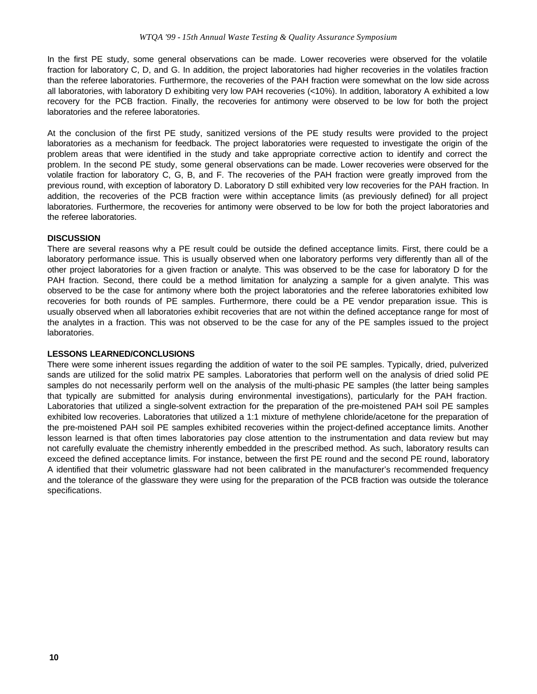In the first PE study, some general observations can be made. Lower recoveries were observed for the volatile fraction for laboratory C, D, and G. In addition, the project laboratories had higher recoveries in the volatiles fraction than the referee laboratories. Furthermore, the recoveries of the PAH fraction were somewhat on the low side across all laboratories, with laboratory D exhibiting very low PAH recoveries (<10%). In addition, laboratory A exhibited a low recovery for the PCB fraction. Finally, the recoveries for antimony were observed to be low for both the project laboratories and the referee laboratories.

At the conclusion of the first PE study, sanitized versions of the PE study results were provided to the project laboratories as a mechanism for feedback. The project laboratories were requested to investigate the origin of the problem areas that were identified in the study and take appropriate corrective action to identify and correct the problem. In the second PE study, some general observations can be made. Lower recoveries were observed for the volatile fraction for laboratory C, G, B, and F. The recoveries of the PAH fraction were greatly improved from the previous round, with exception of laboratory D. Laboratory D still exhibited very low recoveries for the PAH fraction. In addition, the recoveries of the PCB fraction were within acceptance limits (as previously defined) for all project laboratories. Furthermore, the recoveries for antimony were observed to be low for both the project laboratories and the referee laboratories.

# **DISCUSSION**

There are several reasons why a PE result could be outside the defined acceptance limits. First, there could be a laboratory performance issue. This is usually observed when one laboratory performs very differently than all of the other project laboratories for a given fraction or analyte. This was observed to be the case for laboratory D for the PAH fraction. Second, there could be a method limitation for analyzing a sample for a given analyte. This was observed to be the case for antimony where both the project laboratories and the referee laboratories exhibited low recoveries for both rounds of PE samples. Furthermore, there could be a PE vendor preparation issue. This is usually observed when all laboratories exhibit recoveries that are not within the defined acceptance range for most of the analytes in a fraction. This was not observed to be the case for any of the PE samples issued to the project laboratories.

#### **LESSONS LEARNED/CONCLUSIONS**

There were some inherent issues regarding the addition of water to the soil PE samples. Typically, dried, pulverized sands are utilized for the solid matrix PE samples. Laboratories that perform well on the analysis of dried solid PE samples do not necessarily perform well on the analysis of the multi-phasic PE samples (the latter being samples that typically are submitted for analysis during environmental investigations), particularly for the PAH fraction. Laboratories that utilized a single-solvent extraction for the preparation of the pre-moistened PAH soil PE samples exhibited low recoveries. Laboratories that utilized a 1:1 mixture of methylene chloride/acetone for the preparation of the pre-moistened PAH soil PE samples exhibited recoveries within the project-defined acceptance limits. Another lesson learned is that often times laboratories pay close attention to the instrumentation and data review but may not carefully evaluate the chemistry inherently embedded in the prescribed method. As such, laboratory results can exceed the defined acceptance limits. For instance, between the first PE round and the second PE round, laboratory A identified that their volumetric glassware had not been calibrated in the manufacturer's recommended frequency and the tolerance of the glassware they were using for the preparation of the PCB fraction was outside the tolerance specifications.